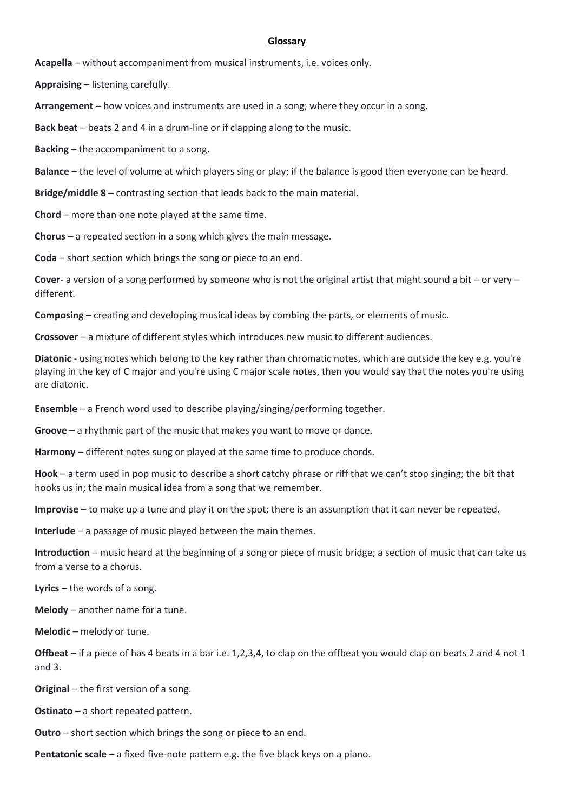## **Glossary**

**Acapella** – without accompaniment from musical instruments, i.e. voices only.

**Appraising** – listening carefully.

**Arrangement** – how voices and instruments are used in a song; where they occur in a song.

**Back beat** – beats 2 and 4 in a drum-line or if clapping along to the music.

**Backing** – the accompaniment to a song.

**Balance** – the level of volume at which players sing or play; if the balance is good then everyone can be heard.

**Bridge/middle 8** – contrasting section that leads back to the main material.

**Chord** – more than one note played at the same time.

**Chorus** – a repeated section in a song which gives the main message.

**Coda** – short section which brings the song or piece to an end.

**Cover**- a version of a song performed by someone who is not the original artist that might sound a bit – or very – different.

**Composing** – creating and developing musical ideas by combing the parts, or elements of music.

**Crossover** – a mixture of different styles which introduces new music to different audiences.

**Diatonic** - using notes which belong to the key rather than chromatic notes, which are outside the key e.g. you're playing in the key of C major and you're using C major scale notes, then you would say that the notes you're using are diatonic.

**Ensemble** – a French word used to describe playing/singing/performing together.

**Groove** – a rhythmic part of the music that makes you want to move or dance.

**Harmony** – different notes sung or played at the same time to produce chords.

**Hook** – a term used in pop music to describe a short catchy phrase or riff that we can't stop singing; the bit that hooks us in; the main musical idea from a song that we remember.

**Improvise** – to make up a tune and play it on the spot; there is an assumption that it can never be repeated.

**Interlude** – a passage of music played between the main themes.

**Introduction** – music heard at the beginning of a song or piece of music bridge; a section of music that can take us from a verse to a chorus.

**Lyrics** – the words of a song.

**Melody** – another name for a tune.

**Melodic** – melody or tune.

**Offbeat** – if a piece of has 4 beats in a bar i.e. 1,2,3,4, to clap on the offbeat you would clap on beats 2 and 4 not 1 and 3.

**Original** – the first version of a song.

**Ostinato** – a short repeated pattern.

**Outro** – short section which brings the song or piece to an end.

**Pentatonic scale** – a fixed five-note pattern e.g. the five black keys on a piano.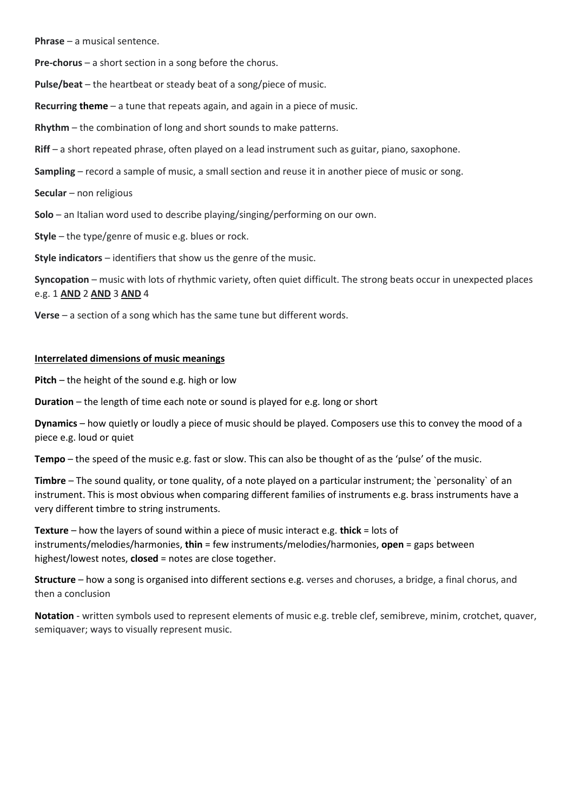**Phrase** – a musical sentence.

**Pre-chorus** – a short section in a song before the chorus.

**Pulse/beat** – the heartbeat or steady beat of a song/piece of music.

**Recurring theme** – a tune that repeats again, and again in a piece of music.

**Rhythm** – the combination of long and short sounds to make patterns.

**Riff** – a short repeated phrase, often played on a lead instrument such as guitar, piano, saxophone.

**Sampling** – record a sample of music, a small section and reuse it in another piece of music or song.

**Secular** – non religious

**Solo** – an Italian word used to describe playing/singing/performing on our own.

**Style** – the type/genre of music e.g. blues or rock.

**Style indicators** – identifiers that show us the genre of the music.

**Syncopation** – music with lots of rhythmic variety, often quiet difficult. The strong beats occur in unexpected places e.g. 1 **AND** 2 **AND** 3 **AND** 4

**Verse** – a section of a song which has the same tune but different words.

## **Interrelated dimensions of music meanings**

**Pitch** – the height of the sound e.g. high or low

**Duration** – the length of time each note or sound is played for e.g. long or short

**Dynamics** – how quietly or loudly a piece of music should be played. Composers use this to convey the mood of a piece e.g. loud or quiet

**Tempo** – the speed of the music e.g. fast or slow. This can also be thought of as the 'pulse' of the music.

**Timbre** – The sound quality, or tone quality, of a note played on a particular instrument; the `personality` of an instrument. This is most obvious when comparing different families of instruments e.g. brass instruments have a very different timbre to string instruments.

**Texture** – how the layers of sound within a piece of music interact e.g. **thick** = lots of instruments/melodies/harmonies, **thin** = few instruments/melodies/harmonies, **open** = gaps between highest/lowest notes, **closed** = notes are close together.

**Structure** – how a song is organised into different sections e.g. verses and choruses, a bridge, a final chorus, and then a conclusion

**Notation** - written symbols used to represent elements of music e.g. treble clef, semibreve, minim, crotchet, quaver, semiquaver; ways to visually represent music.